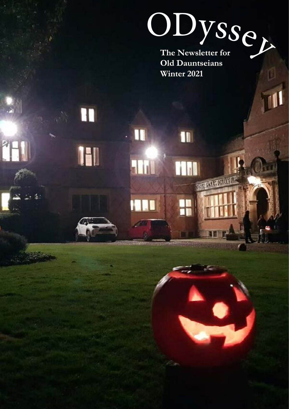# **The Newsletter for**  ODyssey

**Old Dauntseians Winter 2021**

n

<u>m</u>

**MARINE AND REAL** 

H

IH

(金)

T

a Lil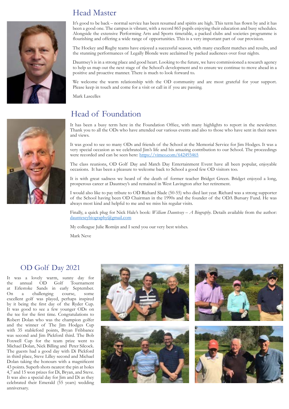## Head Master

It's good to be back – normal service has been resumed and spirits are high. This term has flown by and it has been a good one. The campus is vibrant, with a record 865 pupils enjoying their education and busy schedules. Alongside the extensive Performing Arts and Sports timetable, a packed clubs and societies programme is flourishing and offering a wide range of opportunities. This is a very important part of our provision.

The Hockey and Rugby teams have enjoyed a successful season, with many excellent matches and results, and the stunning performances of Legally Blonde were acclaimed by packed audiences over four nights.

Dauntsey's is in a strong place and good heart. Looking to the future, we have commissioned a research agency to help us map out the next stage of the School's development and to ensure we continue to move ahead in a positive and proactive manner. There is much to look forward to.

We welcome the warm relationship with the OD community and are most grateful for your support. Please keep in touch and come for a visit or call in if you are passing.

Mark Lascelles

### Head of Foundation

It has been a busy term here in the Foundation Office, with many highlights to report in the newsletter. Thank you to all the ODs who have attended our various events and also to those who have sent in their news and views.

It was good to see so many ODs and friends of the School at the Memorial Service for Jim Hodges. It was a very special occasion as we celebrated Jim's life and his amazing contribution to our School. The proceedings were recorded and can be seen here:<https://vimeo.com/642493465>

The class reunions, OD Golf Day and Match Day Entertainment Event have all been popular, enjoyable occasions. It has been a pleasure to welcome back to School a good few OD visitors too.

It is with great sadness we heard of the death of former teacher Bridget Green. Bridget enjoyed a long, prosperous career at Dauntsey's and remained in West Lavington after her retirement.

I would also like to pay tribute to OD Richard Slade (50-55) who died last year. Richard was a strong supporter of the School having been OD Chairman in the 1990s and the founder of the ODA Bursary Fund. He was always most kind and helpful to me and we miss his regular visits.

Finally, a quick plug for Nick Hale's book: *William Dauntesey – A Biography*. Details available from the author: [daunteseybiography@gmail.com](mailto:daunteseybiography%40gmail.com?subject=daunteseybiography%40gmail.com)

My colleague Julie Romijn and I send you our very best wishes.

Mark Neve

### OD Golf Day 2021

It was a lovely warm, sunny day for the annual OD Golf Tournament at Erlestoke Sands in early September. On a challenging course, some excellent golf was played, perhaps inspired by it being the first day of the Ryder Cup. It was good to see a few younger ODs on the tee for the first time. Congratulations to Robert Dolan who was the champion golfer and the winner of The Jim Hodges Cup with 35 stableford points, Bryan Fribbance was second and Jim Pickford third. The Bob Foxwell Cup for the team prize went to Michael Dolan, Nick Billing and Peter Silcock. The guests had a good day with Di Pickford in third place, Steve Lilley second and Michael Dolan taking the honours with a magnificent 43 points. Superb shots nearest the pin at holes 4,7 and 15 won prizes for Di, Bryan, and Steve. It was also a special day for Jim and Di as they celebrated their Emerald (55 years) wedding anniversary.



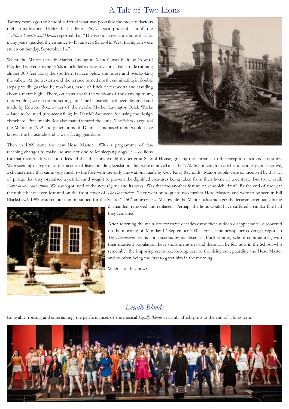### A Tale of Two Lions

Twenty years ago the School suffered what was probably the most audacious theft in its history. Under the headline "Thieves steal pride of school" the *Wiltshire Gazette and Herald* reported that "The two massive stone lions that for many years guarded the entrance to Dauntsey's School in West Lavington were stolen on Sunday, September 16."

When the Manor (strictly Market Lavington Manor) was built by Edward Pleydell-Bouverie in the 1860s it included a decorative brick balustrade running almost 300 feet along the southern terrace below the house and overlooking the valley. At the western end the terrace turned north, culminating in double steps proudly guarded by two lions, made of brick or terracotta and standing about a metre high. There, on an axis with the window of the drawing room, they would gaze out on the setting sun. The balustrade had been designed and made by Edward Box, owner of the nearby Market Lavington Brick Works – later to be sued (unsuccessfully) by Pleydell-Bouverie for using the design elsewhere. Presumably Box also manufactured the lions. The School acquired the Manor in 1929 and generations of Dauntseians based there would have known the balustrade and it west-facing guardians.

Then in 1969 came the new Head Master. With a programme of farreaching changes to make, he was not one to let sleeping dogs lie – or lions



for that matter. It was soon decided that the lions would do better at School House, gracing the entrance to the reception area and his study. With seeming disregard for the niceties of listed building legislation, they were removed in early 1970. Schoolchildren can be notoriously conservative, a characteristic that came very much to the fore with the early innovations made by Guy King-Reynolds. Manor pupils were so incensed by this act of pillage that they organised a petition and sought to prevent the dignified creatures being taken from their home of a century. But to no avail. *Roma locuta, causa finita*. We soon got used to the new régime and its ways. Was that too another feature of schoolchildren? By the end of the year the noble beasts even featured on the front cover of *The Dauntseian*. They went on to guard two further Head Masters and were to be seen in Bill Blackshaw's 1992 watercolour commissioned for the School's 450<sup>th</sup> anniversary. Meanwhile the Manor balustrade gently decayed, eventually being



dismantled, removed and replaced. Perhaps the lions would have suffered a similar fate had they remained.

After adorning the main site for three decades came their sudden disappearance, discovered on the morning of Monday 17 September 2001. For all the newspaper coverage, report in *The Dauntseian* seems conspicuous by its absence. Furthermore, school communities, with their transient population, have short memories and there will be few now in the School who remember the imposing creatures, looking east to the rising sun, guarding the Head Master and so often being the first to greet him in the morning.

Where are they now?

### *Legally Blonde*

Enjoyable, rousing and entertaining, the performances of the musical *Legally Blonde* certainly lifted spirits at the end of a long term.

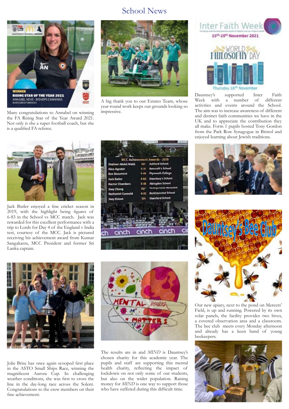### School News



Many congratulations to Annabel on winning the FA Rising Star of the Year Award 2021. Not only is she a super football coach, but she is a qualified FA referee.



A big thank you to our Estates Team, whose year-round work keeps our grounds looking so impressive.



Jack Butler enjoyed a fine cricket season in 2019, with the highlight being figures of 6-83 in the School vs MCC match. Jack was rewarded for this excellent performance with a trip to Lords for Day 4 of the England v India test, courtesy of the MCC. Jack is pictured receiving his achievement award from Kumar Sangakarra, MCC President and former Sri Lanka captain.





Jolie Brise has once again scooped first place in the ASTO Small Ships Race, winning the magnificent Aurora Cup. In challenging weather conditions, she was first to cross the line in the day-long race across the Solent. Congratulations to the crew members on their fine achievement.



The results are in and *MIND* is Dauntsey's chosen charity for this academic year. The pupils and staff are supporting this mental health charity, reflecting the impact of lockdown on not only some of our students, but also on the wider population. Raising money for *MIND* is one way to support those who have suffered during this difficult time.





[Dauntsey's supported Inter Faith](https://twitter.com/DauntseysSchool/status/1460226555360202753/photo/1) [Week with a number of different](https://twitter.com/DauntseysSchool/status/1460226555360202753/photo/1) [activities and events around the School.](https://twitter.com/DauntseysSchool/status/1460226555360202753/photo/1) [The aim was to increase awareness of different](https://twitter.com/DauntseysSchool/status/1460226555360202753/photo/1) [and distinct faith communities we have in the](https://twitter.com/DauntseysSchool/status/1460226555360202753/photo/1) [UK and to appreciate the contribution they](https://twitter.com/DauntseysSchool/status/1460226555360202753/photo/1) [all make. Form 1 pupils hosted Tony Gordon](https://twitter.com/DauntseysSchool/status/1460226555360202753/photo/1) [from the Park Row Synagogue in Bristol and](https://twitter.com/DauntseysSchool/status/1460226555360202753/photo/1) [enjoyed learning about Jewish traditions.](https://twitter.com/DauntseysSchool/status/1460226555360202753/photo/1)





Our new apiary, next to the pond on Mercers' Field, is up and running. Powered by its own solar panels, the facility provides two hives, a covered observation area and a classroom. The bee club meets every Monday afternoon and already has a keen band of young beekeepers.

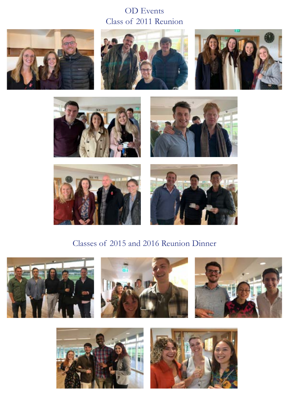## Class of 2011 Reunion OD Events















# Classes of 2015 and 2016 Reunion Dinner









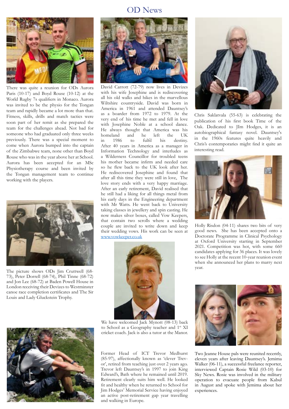### OD News



There was quite a reunion for ODs Aurora Paris (10-17) and Boyd Rouse (10-12) at the World Rugby 7s qualifiers in Monaco. Aurora was invited to be the physio for the Tongan team and rapidly became a lot more than that. Fitness, skills, drills and match tactics were soon part of her remit as she prepared the team for the challenges ahead. Not bad for someone who had graduated only three weeks previously. There was a special moment to come when Aurora bumped into the captain of the Zimbabwe team, none other than Boyd Rouse who was in the year above her at School. Aurora has been accepted for an MSc Physiotherapy course and been invited by the Tongan management team to continue working with the players.



73), Peter Dorrell (68-74), Phil Tinne (68-72) and Jon Lee (68-72) at Baden Powell House in London receiving their Devizes to Westminster canoe race completion certificates and The Sir Louis and Lady Gluckstein Trophy. School and they orderived topic,

walking in the control of the control of the control of the control of the control of the control of the control of the control of the control of the control of the control of the control of the control of the control of t



David Carrott (72-79) now lives in Devizes with his wife Josephine and is rediscovering all his old walks and hikes in the marvellous Wiltshire countryside. David was born in America in 1961 and attended Dauntsey's as a boarder from 1972 to 1979. At the very end of his time he met and fell in love with Josephine Noble at a school dance. He always thought that America was his homeland and he left the UK<br>in 1986 to fulfil his destiny. in 1986 to fulfil his destiny. After 40 years in America as a manager in Information Technology and interludes as a Wilderness Councillor for troubled teens his mother became infirm and needed care so he flew back to the UK look after her. He rediscovered Josephine and found that after all this time they were still in love, The love story ends with a very happy marriage. After an early retirement, David realised that he still had a liking for all things metal from his early days in the Engineering department with Mr Watts. He went back to University taking classes in jewellery and spin casting. He now makes silver boxes, called Vow Keepers, that contain two scrolls where a wedding couple are invited to write down and keep their wedding vows. His work can be seen at [www.vowkeeper.co.uk](http://www.vowkeeper.co.uk)



We have welcomed Jack Mynott (08-13) back to School as a Geography teacher and 1<sup>st</sup> XI cricket coach. Jack is also a tutor at the Manor.

Former Head of ICT Trevor Medhurst Two Je (85-97), affectionally known as 'clever Trev- elever or', retired from teaching just over 2 years ago. Walke Trevor left Dauntsey's in 1997 to join King intervie Edward's, Bath where he remained until 2019. Sky N Retirement clearly suits him well. He looked opera Franchischer County years, I and I health is the both can be operated for the bullet of the bullet of the bullet of the bullet of the bullet of the bullet of the bullet of the bullet of the bullet of the bullet of the bull In the and the many when he retained to behoor for an active post-retirement gap year travelling and walking in Europe.



Chris Saklatvala (55-63) is celebrating the publication of his first book Time of the Oak. Dedicated to JIm Hodges, it is an autobiographical fantasy novel. Dauntsey's in the 1960s features quite heavily and Chris's contemporaries might find it quite an interesting read.



Holly Risdon (04-11) shares two bits of very good news. She has been accepted onto a Doctorate Programme in Clinical Psychology at Oxford University starting in September 2021. Competition was hot, with some 660 candidates applying for 36 places. It was lovely to see Holly at the recent 10-year reunion event when she announced her plans to marry next



Two Jeanne House pals were reunited recently, eleven years after leaving Dauntsey's. Jemima Walker (06-11), a successful freelance reporter, matte (extern), a correction are stated experies, Sky News. Rosie was involved in the military operation to evacuate people from Kabul in August and spoke with Jemima about her experiences. time in the parties of miles and the miles of miles and the miles of miles and the miles and the miles of miles and the miles of miles and the miles of miles and the miles of miles and the miles of miles and the miles of m  $\frac{1}{2}$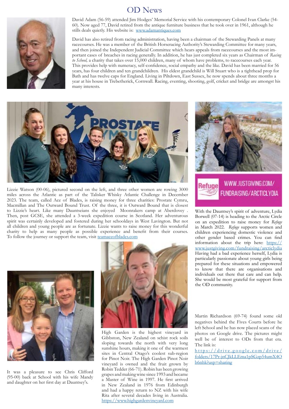### OD News



David Adam (56-59) attended Jim Hodges' Memorial Service with his contemporary Colonel Ivan Clarke (54- 60). Now aged 77, David retired from the antique furniture business that he took over in 1961, although he stills deals quietly. His website is: [www.adamantiques.com](http://www.adamantiques.com)

David has also retired from racing administration, having been a chairman of the Stewarding Panels at many racecourses. He was a member of the British Horseracing Authority's Stewarding Committee for many years, and then joined the Independent Judicial Committee which hears appeals from racecourses and the most important cases of breaches in racing generally. In addition, he has just completed six years as Chairman of *Racing to School,* a charity that takes over 15,000 children, many of whom have problems, to racecourses each year. This provides help with numeracy, self-confidence, social empathy and the like. David has been married for 56 years, has four children and ten grandchildren. His eldest grandchild is Will Stuart who is a tighthead prop for Bath and has twelve caps for England. Living in Piltdown, East Sussex, he now spends about three months a year at his house in Trebetherick, Cornwall. Racing, eventing, shooting, golf, cricket and bridge are amongst his many interests.



Lizzie Watson (00-06), pictured second on the left, and three other women are rowing 3000 miles across the Atlantic as part of the Talisker Whisky Atlantic Challenge in December 2023. The team, called Ace of Blades, is raising money for three charities: Prostate Cymru, Macmillan and The Outward Bound Trust. Of the three, it is Outward Bound that is closest to Lizzie's heart. Like many Dauntseians she enjoyed Moonrakers camp at Aberdovey . Then, post GCSE, she attended a 3-week expedition course in Scotland. Her adventurous spirit was certainly developed and fostered during her schooldays in West Lavington. But not all children and young people are as fortunate. Lizzie wants to raise money for this wonderful charity to help as many people as possible experience and benefit from their courses. To follow the journey or support the team, visit [teamaceofblades.com](https://urlsand.esvalabs.com/?u=http%3A%2F%2Fteamaceofblades.com&e=706d3d07&h=6dc976a7&f=y&p=n)



It was a pleasure to see Chris Clifford (95-00) back at School with his wife Mandy and daughter on her first day at Dauntsey's.



High Garden is the highest vineyard in Gibbston, New Zealand on schist rock soils sloping towards the north with very long sunshine hours, making it one of the warmest sites in Central Otago's coolest sub-region for Pinot Noir. The High Garden Pinot Noir vineyard is owned and the fruit grown by Robin Tedder (66-71). Robin has been growing grapes and making wine since 1993 and became a Master of Wine in 1997. He first arrived in New Zealand in 1976 from Edinburgh and had a happy return to NZ with his wife Rita after several decades living in Australia. <https://www.highgardenvineyard.com>



FUNDRAISING/ARCTICLYDIA With the Dauntsey's spirit of adventure, Lydia Borwell (07-14) is heading to the Arctic Circle on an expedition to raise money for *Refuge* in March 2022. *Refuge* supports women and children experiencing domestic violence and other gender based crimes. You can find information about the trip here: [https://](https://urlsand.esvalabs.com/?u=https%3A%2F%2Fwww.justgiving.com%2Ffundraising%2Farcticlydia&e=706d3d07&h=7d0236b1&f=y&p=n) [www.justgiving.com/fundraising/arcticlydia](https://urlsand.esvalabs.com/?u=https%3A%2F%2Fwww.justgiving.com%2Ffundraising%2Farcticlydia&e=706d3d07&h=7d0236b1&f=y&p=n) Having had a bad experience herself, Lydia is particularly passionate about young girls being prepared for these situations and empowered

to know that there are organisations and individuals out there that care and can help. She would be most grateful for support from the OD community.

Martin Richardson (69-74) found some old negatives behind the Fives Courts before he left School and he has now placed scans of the photos on Google drive. The pictures might well be of interest to ODs from that era. The link is:

[https://drive.google.com/drive/](https://drive.google.com/drive/folders/17Pr-jnCJkLLEma1pSGzp54umX4Ob6nhk?usp=sharing) [folders/17Pr-jnCJkLLEma1pSGzp54umX4O](https://drive.google.com/drive/folders/17Pr-jnCJkLLEma1pSGzp54umX4Ob6nhk?usp=sharing) [b6nhk?usp=sharing](https://drive.google.com/drive/folders/17Pr-jnCJkLLEma1pSGzp54umX4Ob6nhk?usp=sharing)